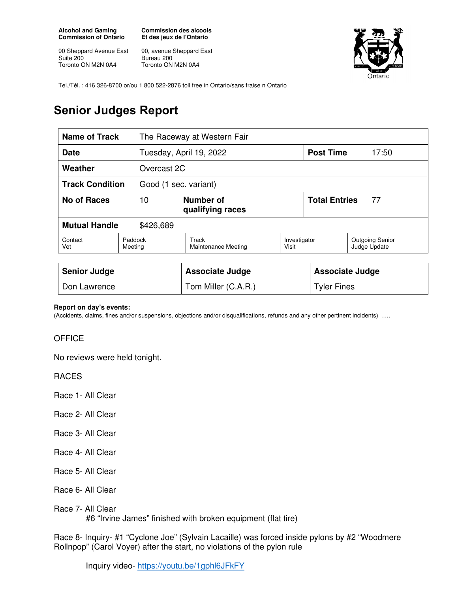**Alcohol and Gaming Commission of Ontario** 

90 Sheppard Avenue East Suite 200 Toronto ON M2N 0A4

**Commission des alcools Et des jeux de l'Ontario** 

90, avenue Sheppard East Bureau 200 Toronto ON M2N 0A4



Tel./Tél. : 416 326-8700 or/ou 1 800 522-2876 toll free in Ontario/sans fraise n Ontario

## **Senior Judges Report**

| Name of Track                                   |                                     | The Raceway at Western Fair         |                       |                              |                                        |
|-------------------------------------------------|-------------------------------------|-------------------------------------|-----------------------|------------------------------|----------------------------------------|
| <b>Date</b>                                     |                                     | Tuesday, April 19, 2022             |                       | <b>Post Time</b>             | 17:50                                  |
| Weather<br>Overcast 2C                          |                                     |                                     |                       |                              |                                        |
| <b>Track Condition</b><br>Good (1 sec. variant) |                                     |                                     |                       |                              |                                        |
| <b>No of Races</b>                              | Number of<br>10<br>qualifying races |                                     |                       | <b>Total Entries</b><br>- 77 |                                        |
| <b>Mutual Handle</b><br>\$426,689               |                                     |                                     |                       |                              |                                        |
| Contact<br>Vet                                  | Paddock<br>Meeting                  | Track<br><b>Maintenance Meeting</b> | Investigator<br>Visit |                              | <b>Outgoing Senior</b><br>Judge Update |
|                                                 |                                     |                                     |                       |                              |                                        |
| <b>Senior Judge</b>                             |                                     | <b>Associate Judge</b>              |                       | <b>Associate Judge</b>       |                                        |
| Don Lawrence                                    |                                     | Tom Miller (C.A.R.)                 |                       | <b>Tyler Fines</b>           |                                        |

## **Report on day's events:**

(Accidents, claims, fines and/or suspensions, objections and/or disqualifications, refunds and any other pertinent incidents) ….

## **OFFICE**

No reviews were held tonight.

RACES

Race 1- All Clear

- Race 2- All Clear
- Race 3- All Clear
- Race 4- All Clear
- Race 5- All Clear
- Race 6- All Clear
- Race 7- All Clear #6 "Irvine James" finished with broken equipment (flat tire)

Race 8- Inquiry- #1 "Cyclone Joe" (Sylvain Lacaille) was forced inside pylons by #2 "Woodmere Rollnpop" (Carol Voyer) after the start, no violations of the pylon rule

Inquiry video- https://youtu.be/1gphl6JFkFY